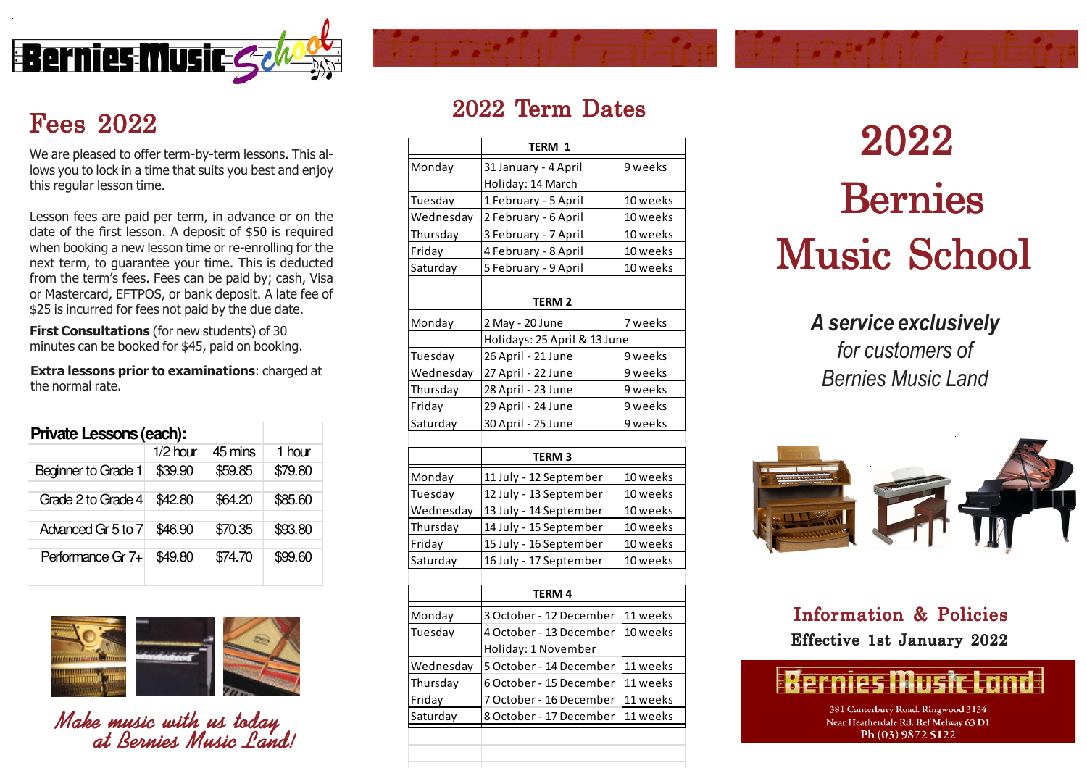

# Fees 2022

lows you to lock in a time that suits you best and enjoy this regular lesson time.

Lesson fees are paid per term, in advance or on the date of the first lesson. A deposit of \$50 is required when booking a new lesson time or re-enrolling for the next term, to guarantee your time. This is deducted from the term's fees. Fees can be paid by; cash, Visa or Mastercard, EFTPOS, or bank deposit. A late fee of \$25 is incurred for fees not paid by the due date.

**First Consultations** (for new students) of 30 minutes can be booked for \$45, paid on booking.

Extra lessons prior to examinations: charged at the normal rate.

| Private Lessons (each): |            |         |         |
|-------------------------|------------|---------|---------|
|                         | $1/2$ hour | 45 mins | 1 hour  |
| Beginner to Grade 1     | \$39.90    | \$59.85 | \$79.80 |
|                         |            |         |         |
| Grade 2 to Grade 4      | \$42.80    | \$64.20 | \$85.60 |
| Advanced Gr 5 to 7      | \$46.90    | \$70.35 | \$93.80 |
| Performance Gr 7+       | \$49.80    | \$74.70 | \$99.60 |
|                         |            |         |         |



Make music with us today at Bernies Music Land!

## 2022 Term Dates

|           | <b>TERM 1</b>                |          |
|-----------|------------------------------|----------|
| Monday    | 31 January - 4 April         | 9 weeks  |
|           | Holiday: 14 March            |          |
| Tuesday   | 1 February - 5 April         | 10 weeks |
| Wednesday | 2 February - 6 April         | 10 weeks |
| Thursday  | 3 February - 7 April         | 10 weeks |
| Friday    | 4 February - 8 April         | 10 weeks |
| Saturday  | 5 February - 9 April         | 10 weeks |
|           |                              |          |
|           | <b>TERM 2</b>                |          |
| Monday    | 2 May - 20 June              | 7 weeks  |
|           | Holidays: 25 April & 13 June |          |
| Tuesday   | 26 April - 21 June           | 9 weeks  |
| Wednesday | 27 April - 22 June           | 9 weeks  |
| Thursday  | 28 April - 23 June           | 9 weeks  |
| Friday    | 29 April - 24 June           | 9 weeks  |
| Saturday  | 30 April - 25 June           | 9 weeks  |
|           |                              |          |
|           | <b>TERM3</b>                 |          |
| Monday    | 11 July - 12 September       | 10 weeks |
| Tuesday   | 12 July - 13 September       | 10 weeks |
| Wednesday | 13 July - 14 September       | 10 weeks |
| Thursday  | 14 July - 15 September       | 10 weeks |
| Friday    | 15 July - 16 September       | 10 weeks |
| Saturday  | 16 July - 17 September       | 10 weeks |
|           |                              |          |
|           | TERM 4                       |          |
| Monday    | 3 October - 12 December      | 11 weeks |
| Tuesday   | 4 October - 13 December      | 10 weeks |
|           | Holiday: 1 November          |          |
|           |                              |          |
| Wednesday | 5 October - 14 December      | 11 weeks |
| Thursday  | 6 October - 15 December      | 11 weeks |
| Friday    | 7 October - 16 December      | 11 weeks |
| Saturday  | 8 October - 17 December      | 11 weeks |
|           |                              |          |

 Bernies Music School  $\frac{1}{2022}$ <br>We are pleased to offer term-by-term lessons. This al-<br>

### A service exclusively for customers of

Bernies Music Land



## Information & Policies Effective 1st January 2022



381 Canterbury Road. Ringwood 3134 Near Heatherdale Rd. Ref Melway 63 D1 Ph (03) 9872 5122